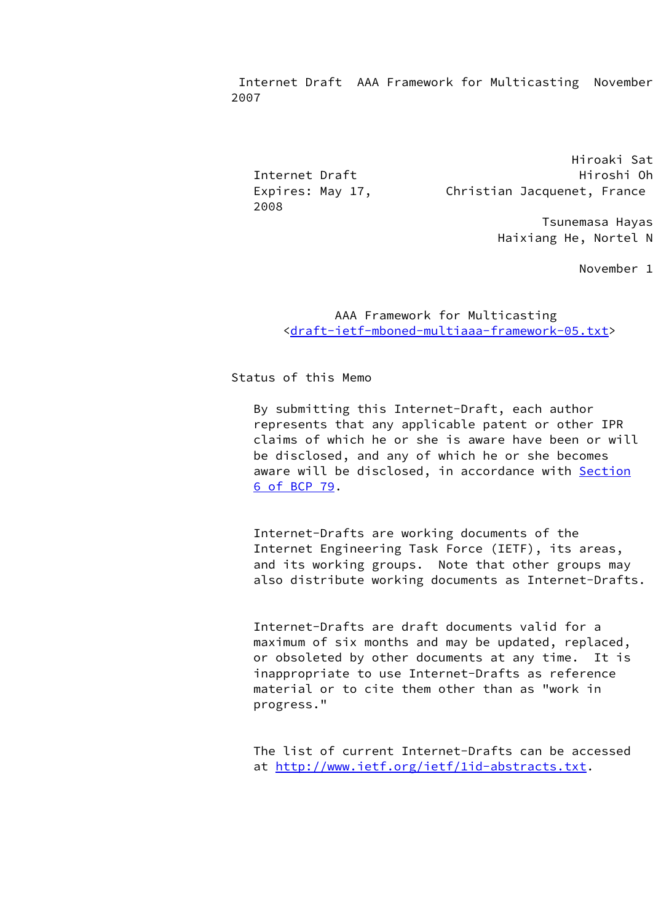2008

Hiroaki Sat Internet Draft Nicolas And Hiroshi Oh Expires: May 17, Christian Jacquenet, France

> Tsunemasa Hayas Haixiang He, Nortel N

November 19, 2007, 2007, 2007, 2007, 2007, 2007, 2007, 2007, 2007, 2007, 2007, 2007, 2007, 2007, 2007, 2007, 20

 AAA Framework for Multicasting <[draft-ietf-mboned-multiaaa-framework-05.txt](https://datatracker.ietf.org/doc/pdf/draft-ietf-mboned-multiaaa-framework-05.txt)>

Status of this Memo

 By submitting this Internet-Draft, each author represents that any applicable patent or other IPR claims of which he or she is aware have been or will be disclosed, and any of which he or she becomes aware will be disclosed, in accordance with [Section](https://datatracker.ietf.org/doc/pdf/bcp79#section-6) [6 of BCP 79](https://datatracker.ietf.org/doc/pdf/bcp79#section-6).

 Internet-Drafts are working documents of the Internet Engineering Task Force (IETF), its areas, and its working groups. Note that other groups may also distribute working documents as Internet-Drafts.

 Internet-Drafts are draft documents valid for a maximum of six months and may be updated, replaced, or obsoleted by other documents at any time. It is inappropriate to use Internet-Drafts as reference material or to cite them other than as "work in progress."

 The list of current Internet-Drafts can be accessed at [http://www.ietf.org/ietf/1id-abstracts.txt.](http://www.ietf.org/ietf/1id-abstracts.txt)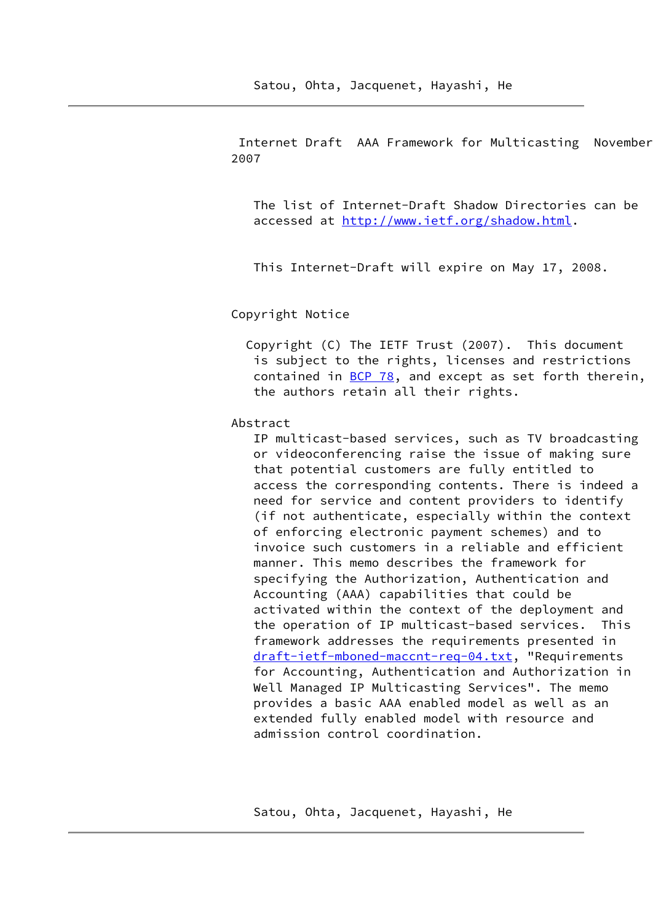The list of Internet-Draft Shadow Directories can be accessed at<http://www.ietf.org/shadow.html>.

This Internet-Draft will expire on May 17, 2008.

Copyright Notice

 Copyright (C) The IETF Trust (2007). This document is subject to the rights, licenses and restrictions contained in [BCP 78](https://datatracker.ietf.org/doc/pdf/bcp78), and except as set forth therein, the authors retain all their rights.

## Abstract

 IP multicast-based services, such as TV broadcasting or videoconferencing raise the issue of making sure that potential customers are fully entitled to access the corresponding contents. There is indeed a need for service and content providers to identify (if not authenticate, especially within the context of enforcing electronic payment schemes) and to invoice such customers in a reliable and efficient manner. This memo describes the framework for specifying the Authorization, Authentication and Accounting (AAA) capabilities that could be activated within the context of the deployment and the operation of IP multicast-based services. This framework addresses the requirements presented in [draft-ietf-mboned-maccnt-req-04.txt](https://datatracker.ietf.org/doc/pdf/draft-ietf-mboned-maccnt-req-04.txt), "Requirements for Accounting, Authentication and Authorization in Well Managed IP Multicasting Services". The memo provides a basic AAA enabled model as well as an extended fully enabled model with resource and admission control coordination.

Satou, Ohta, Jacquenet, Hayashi, He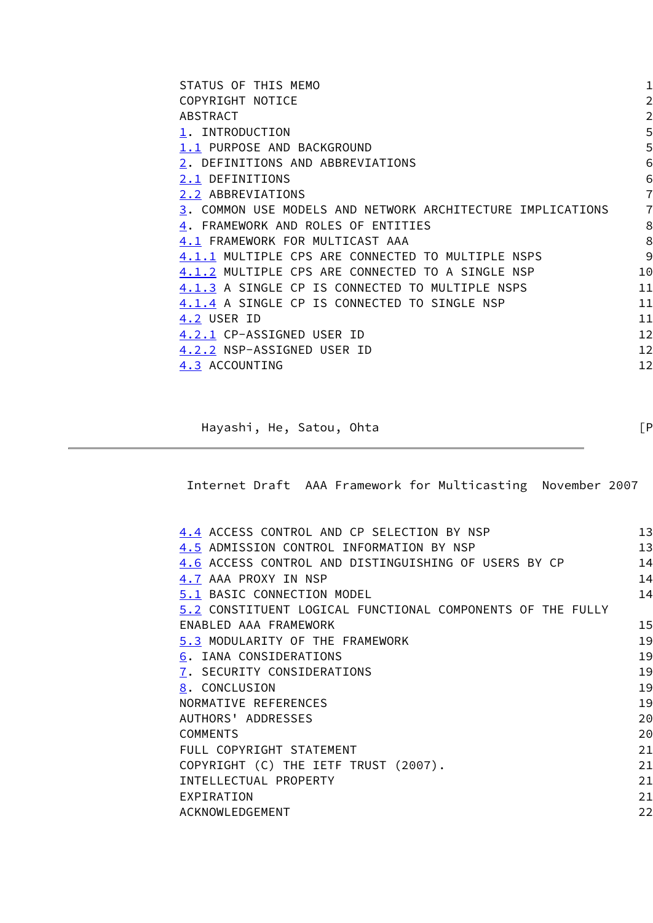<span id="page-2-7"></span><span id="page-2-6"></span><span id="page-2-5"></span><span id="page-2-4"></span><span id="page-2-3"></span><span id="page-2-2"></span><span id="page-2-1"></span><span id="page-2-0"></span>

| STATUS OF THIS MEMO                                        | 1              |
|------------------------------------------------------------|----------------|
| COPYRIGHT NOTICE                                           | $\overline{c}$ |
| ABSTRACT                                                   | $\overline{2}$ |
| 1. INTRODUCTION                                            | 5              |
| 1.1 PURPOSE AND BACKGROUND                                 | 5              |
| 2. DEFINITIONS AND ABBREVIATIONS                           | 6              |
| 2.1 DEFINITIONS                                            | 6              |
| 2.2 ABBREVIATIONS                                          | $\overline{7}$ |
| 3. COMMON USE MODELS AND NETWORK ARCHITECTURE IMPLICATIONS | 7              |
| 4. FRAMEWORK AND ROLES OF ENTITIES                         | 8              |
| 4.1 FRAMEWORK FOR MULTICAST AAA                            | 8              |
| 4.1.1 MULTIPLE CPS ARE CONNECTED TO MULTIPLE NSPS          | 9              |
| 4.1.2 MULTIPLE CPS ARE CONNECTED TO A SINGLE NSP           | 10             |
| 4.1.3 A SINGLE CP IS CONNECTED TO MULTIPLE NSPS            | 11             |
| 4.1.4 A SINGLE CP IS CONNECTED TO SINGLE NSP               | 11             |
| 4.2 USER ID                                                | 11             |
| 4.2.1 CP-ASSIGNED USER ID                                  | 12             |
| 4.2.2 NSP-ASSIGNED USER ID                                 | 12             |
| 4.3 ACCOUNTING                                             | 12             |
|                                                            |                |

<span id="page-2-16"></span><span id="page-2-15"></span><span id="page-2-14"></span><span id="page-2-13"></span><span id="page-2-12"></span><span id="page-2-11"></span><span id="page-2-10"></span><span id="page-2-9"></span><span id="page-2-8"></span>Hayashi, He, Satou, Ohta **1999** [Page 3]

<span id="page-2-25"></span><span id="page-2-24"></span><span id="page-2-23"></span><span id="page-2-22"></span><span id="page-2-21"></span><span id="page-2-20"></span><span id="page-2-19"></span><span id="page-2-18"></span><span id="page-2-17"></span>

| 4.4 ACCESS CONTROL AND CP SELECTION BY NSP                 | 13 |
|------------------------------------------------------------|----|
| 4.5 ADMISSION CONTROL INFORMATION BY NSP                   | 13 |
| 4.6 ACCESS CONTROL AND DISTINGUISHING OF USERS BY CP       | 14 |
| 4.7 AAA PROXY IN NSP                                       | 14 |
| 5.1 BASIC CONNECTION MODEL                                 | 14 |
| 5.2 CONSTITUENT LOGICAL FUNCTIONAL COMPONENTS OF THE FULLY |    |
| ENABLED AAA FRAMEWORK                                      | 15 |
| 5.3 MODULARITY OF THE FRAMEWORK                            | 19 |
| 6. IANA CONSIDERATIONS                                     | 19 |
| 7. SECURITY CONSIDERATIONS                                 | 19 |
| 8. CONCLUSION                                              | 19 |
| NORMATIVE REFERENCES                                       | 19 |
| AUTHORS' ADDRESSES                                         | 20 |
| <b>COMMENTS</b>                                            | 20 |
| FULL COPYRIGHT STATEMENT                                   | 21 |
| COPYRIGHT (C) THE IETF TRUST (2007).                       | 21 |
| INTELLECTUAL PROPERTY                                      | 21 |
| EXPIRATION                                                 | 21 |
| ACKNOWLEDGEMENT                                            | 22 |
|                                                            |    |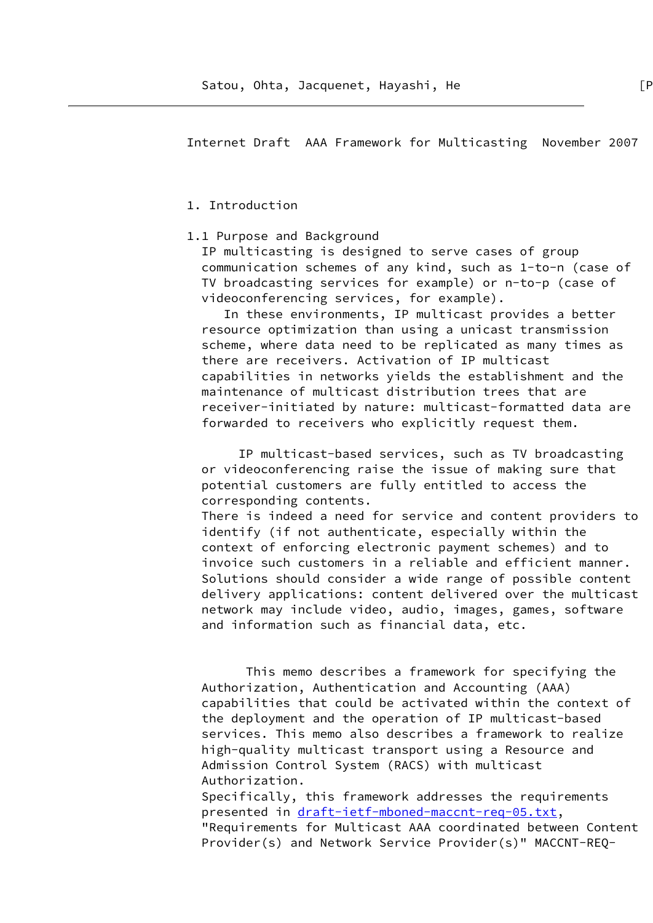#### 1. Introduction

#### 1.1 Purpose and Background

 IP multicasting is designed to serve cases of group communication schemes of any kind, such as 1-to-n (case of TV broadcasting services for example) or n-to-p (case of videoconferencing services, for example).

 In these environments, IP multicast provides a better resource optimization than using a unicast transmission scheme, where data need to be replicated as many times as there are receivers. Activation of IP multicast capabilities in networks yields the establishment and the maintenance of multicast distribution trees that are receiver-initiated by nature: multicast-formatted data are forwarded to receivers who explicitly request them.

 IP multicast-based services, such as TV broadcasting or videoconferencing raise the issue of making sure that potential customers are fully entitled to access the corresponding contents.

 There is indeed a need for service and content providers to identify (if not authenticate, especially within the context of enforcing electronic payment schemes) and to invoice such customers in a reliable and efficient manner. Solutions should consider a wide range of possible content delivery applications: content delivered over the multicast network may include video, audio, images, games, software and information such as financial data, etc.

 This memo describes a framework for specifying the Authorization, Authentication and Accounting (AAA) capabilities that could be activated within the context of the deployment and the operation of IP multicast-based services. This memo also describes a framework to realize high-quality multicast transport using a Resource and Admission Control System (RACS) with multicast Authorization.

 Specifically, this framework addresses the requirements presented in [draft-ietf-mboned-maccnt-req-05.txt,](https://datatracker.ietf.org/doc/pdf/draft-ietf-mboned-maccnt-req-05.txt) "Requirements for Multicast AAA coordinated between Content Provider(s) and Network Service Provider(s)" MACCNT-REQ-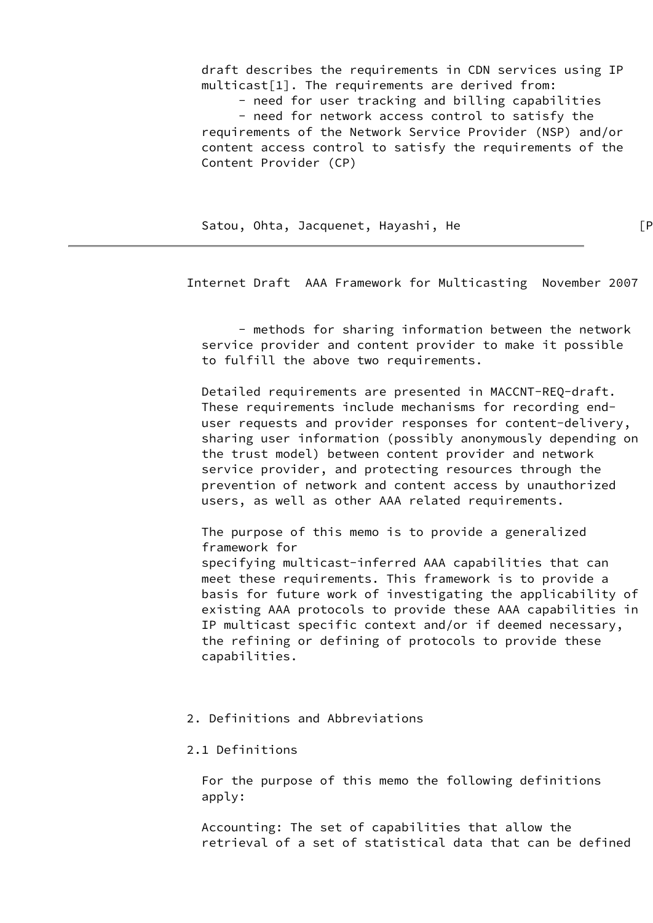draft describes the requirements in CDN services using IP multicast[1]. The requirements are derived from: - need for user tracking and billing capabilities - need for network access control to satisfy the requirements of the Network Service Provider (NSP) and/or content access control to satisfy the requirements of the Content Provider (CP)

Satou, Ohta, Jacquenet, Hayashi, He **Finange 1** [P

Internet Draft AAA Framework for Multicasting November 2007

 - methods for sharing information between the network service provider and content provider to make it possible to fulfill the above two requirements.

 Detailed requirements are presented in MACCNT-REQ-draft. These requirements include mechanisms for recording end user requests and provider responses for content-delivery, sharing user information (possibly anonymously depending on the trust model) between content provider and network service provider, and protecting resources through the prevention of network and content access by unauthorized users, as well as other AAA related requirements.

 The purpose of this memo is to provide a generalized framework for specifying multicast-inferred AAA capabilities that can meet these requirements. This framework is to provide a basis for future work of investigating the applicability of existing AAA protocols to provide these AAA capabilities in IP multicast specific context and/or if deemed necessary, the refining or defining of protocols to provide these capabilities.

2. Definitions and Abbreviations

# 2.1 Definitions

 For the purpose of this memo the following definitions apply:

 Accounting: The set of capabilities that allow the retrieval of a set of statistical data that can be defined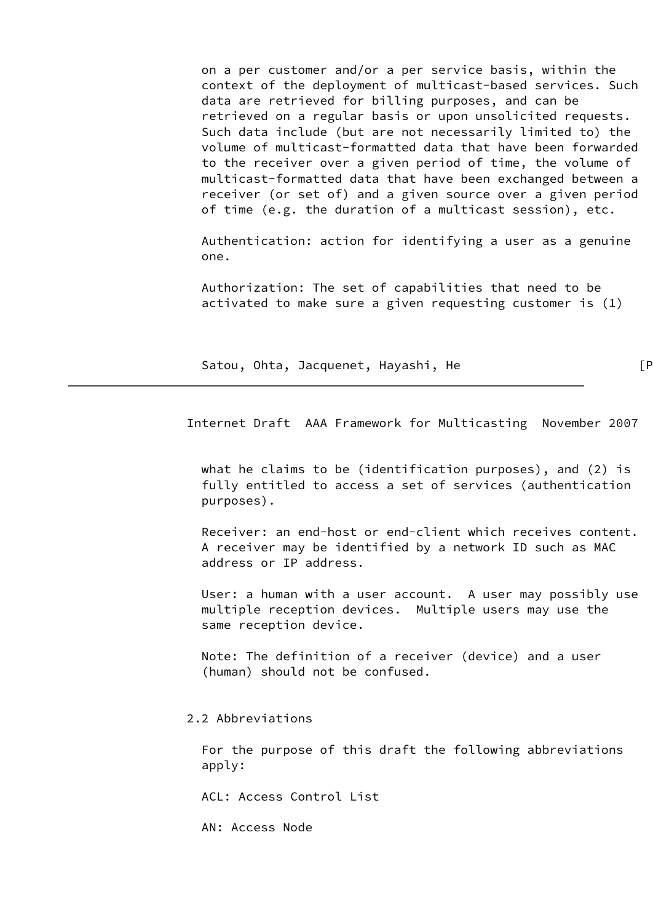on a per customer and/or a per service basis, within the context of the deployment of multicast-based services. Such data are retrieved for billing purposes, and can be retrieved on a regular basis or upon unsolicited requests. Such data include (but are not necessarily limited to) the volume of multicast-formatted data that have been forwarded to the receiver over a given period of time, the volume of multicast-formatted data that have been exchanged between a receiver (or set of) and a given source over a given period of time (e.g. the duration of a multicast session), etc.

 Authentication: action for identifying a user as a genuine one.

 Authorization: The set of capabilities that need to be activated to make sure a given requesting customer is (1)

Satou, Ohta, Jacquenet, Hayashi, He **Eagle 6** and Francesco 6

Internet Draft AAA Framework for Multicasting November 2007

 what he claims to be (identification purposes), and (2) is fully entitled to access a set of services (authentication purposes).

 Receiver: an end-host or end-client which receives content. A receiver may be identified by a network ID such as MAC address or IP address.

 User: a human with a user account. A user may possibly use multiple reception devices. Multiple users may use the same reception device.

 Note: The definition of a receiver (device) and a user (human) should not be confused.

# 2.2 Abbreviations

 For the purpose of this draft the following abbreviations apply:

ACL: Access Control List

AN: Access Node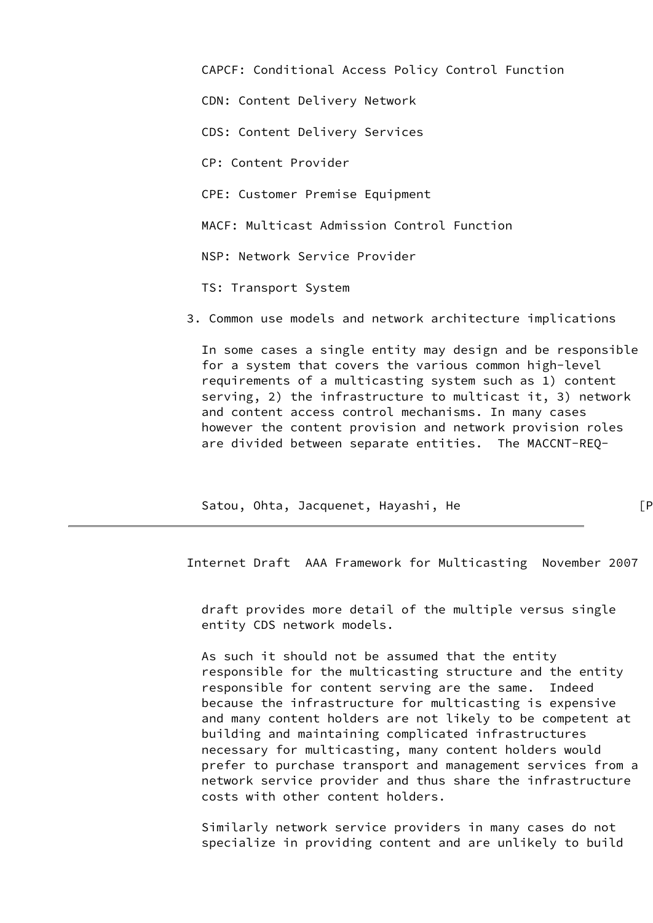CAPCF: Conditional Access Policy Control Function

CDN: Content Delivery Network

CDS: Content Delivery Services

CP: Content Provider

CPE: Customer Premise Equipment

MACF: Multicast Admission Control Function

NSP: Network Service Provider

TS: Transport System

3. Common use models and network architecture implications

 In some cases a single entity may design and be responsible for a system that covers the various common high-level requirements of a multicasting system such as 1) content serving, 2) the infrastructure to multicast it, 3) network and content access control mechanisms. In many cases however the content provision and network provision roles are divided between separate entities. The MACCNT-REQ-

Satou, Ohta, Jacquenet, Hayashi, He **Finange 7** [P

Internet Draft AAA Framework for Multicasting November 2007

 draft provides more detail of the multiple versus single entity CDS network models.

 As such it should not be assumed that the entity responsible for the multicasting structure and the entity responsible for content serving are the same. Indeed because the infrastructure for multicasting is expensive and many content holders are not likely to be competent at building and maintaining complicated infrastructures necessary for multicasting, many content holders would prefer to purchase transport and management services from a network service provider and thus share the infrastructure costs with other content holders.

 Similarly network service providers in many cases do not specialize in providing content and are unlikely to build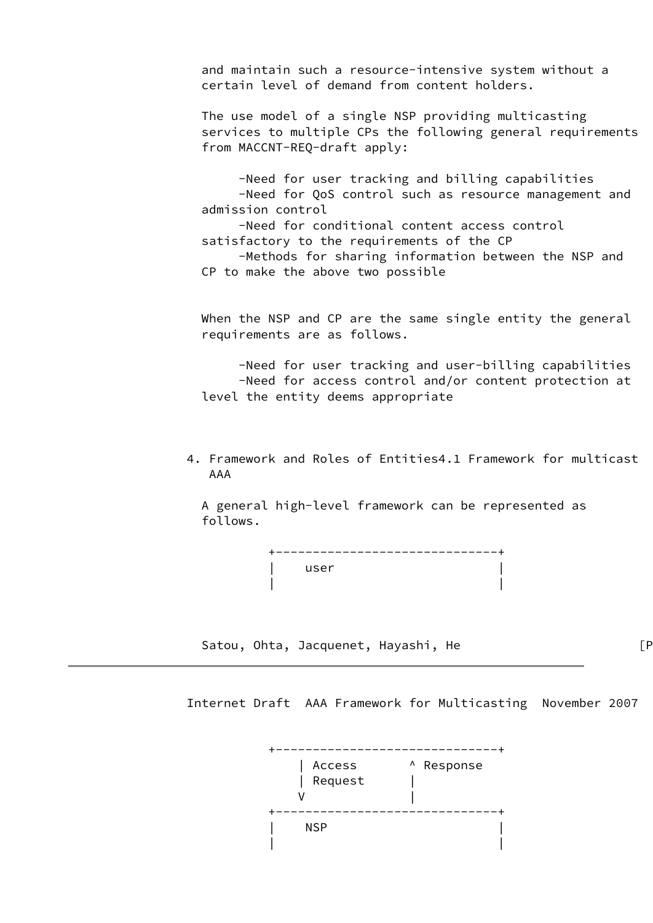and maintain such a resource-intensive system without a certain level of demand from content holders.

 The use model of a single NSP providing multicasting services to multiple CPs the following general requirements from MACCNT-REQ-draft apply:

 -Need for user tracking and billing capabilities -Need for QoS control such as resource management and admission control

 -Need for conditional content access control satisfactory to the requirements of the CP

 -Methods for sharing information between the NSP and CP to make the above two possible

 When the NSP and CP are the same single entity the general requirements are as follows.

 -Need for user tracking and user-billing capabilities -Need for access control and/or content protection at level the entity deems appropriate

 4. Framework and Roles of Entities4.1 Framework for multicast AAA

 A general high-level framework can be represented as follows.

 +------------------------------+ | user | | |

Satou, Ohta, Jacquenet, Hayashi, He **888** [Page 8]

| Access<br>Request | ^ Response |
|-------------------|------------|
| <b>NSP</b>        |            |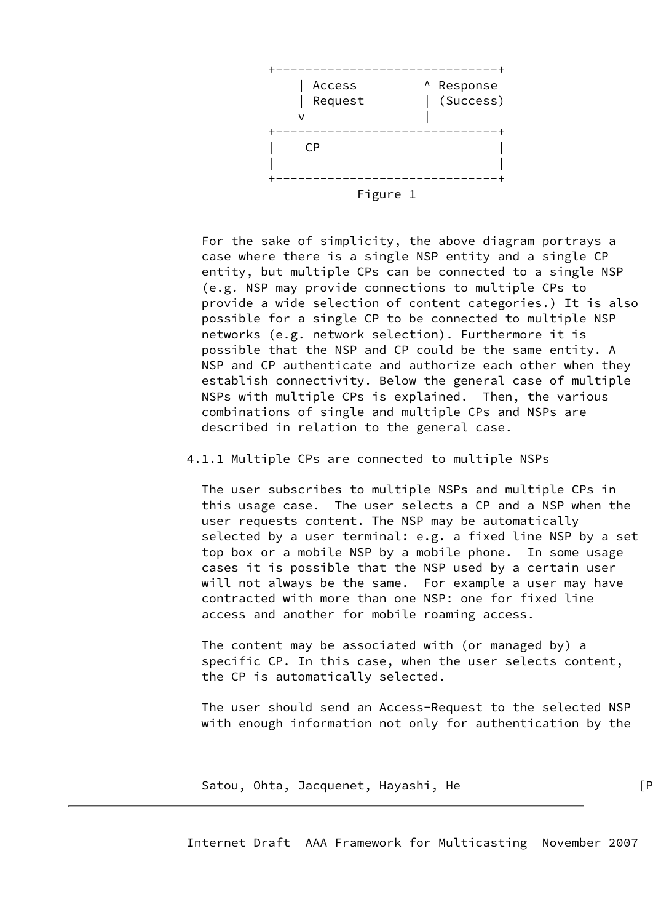

 For the sake of simplicity, the above diagram portrays a case where there is a single NSP entity and a single CP entity, but multiple CPs can be connected to a single NSP (e.g. NSP may provide connections to multiple CPs to provide a wide selection of content categories.) It is also possible for a single CP to be connected to multiple NSP networks (e.g. network selection). Furthermore it is possible that the NSP and CP could be the same entity. A NSP and CP authenticate and authorize each other when they establish connectivity. Below the general case of multiple NSPs with multiple CPs is explained. Then, the various combinations of single and multiple CPs and NSPs are described in relation to the general case.

## 4.1.1 Multiple CPs are connected to multiple NSPs

 The user subscribes to multiple NSPs and multiple CPs in this usage case. The user selects a CP and a NSP when the user requests content. The NSP may be automatically selected by a user terminal: e.g. a fixed line NSP by a set top box or a mobile NSP by a mobile phone. In some usage cases it is possible that the NSP used by a certain user will not always be the same. For example a user may have contracted with more than one NSP: one for fixed line access and another for mobile roaming access.

 The content may be associated with (or managed by) a specific CP. In this case, when the user selects content, the CP is automatically selected.

 The user should send an Access-Request to the selected NSP with enough information not only for authentication by the

Satou, Ohta, Jacquenet, Hayashi, He **Page 91** [P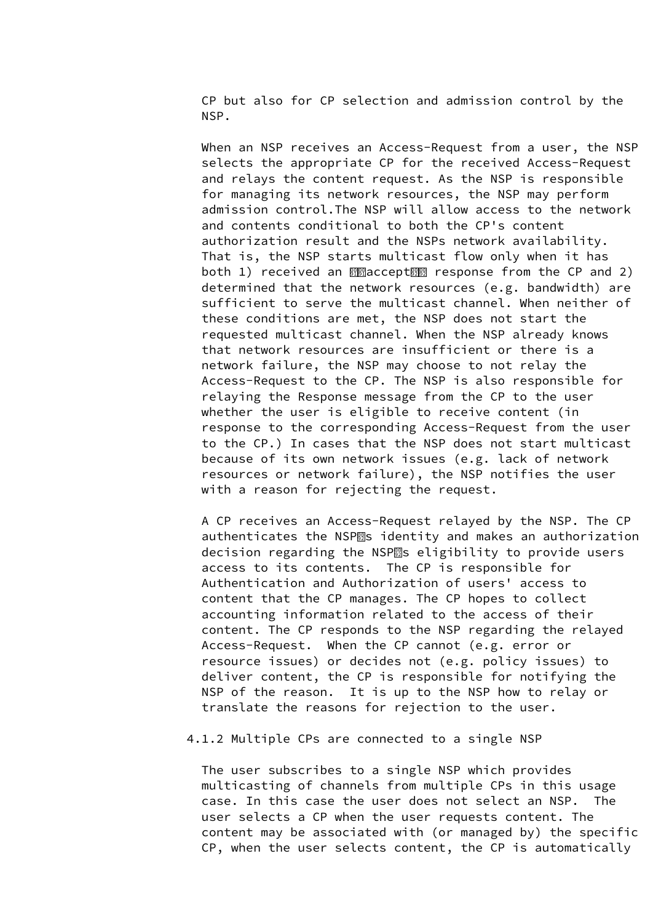CP but also for CP selection and admission control by the NSP.

 When an NSP receives an Access-Request from a user, the NSP selects the appropriate CP for the received Access-Request and relays the content request. As the NSP is responsible for managing its network resources, the NSP may perform admission control.The NSP will allow access to the network and contents conditional to both the CP's content authorization result and the NSPs network availability. That is, the NSP starts multicast flow only when it has both 1) received an accept response from the CP and 2) determined that the network resources (e.g. bandwidth) are sufficient to serve the multicast channel. When neither of these conditions are met, the NSP does not start the requested multicast channel. When the NSP already knows that network resources are insufficient or there is a network failure, the NSP may choose to not relay the Access-Request to the CP. The NSP is also responsible for relaying the Response message from the CP to the user whether the user is eligible to receive content (in response to the corresponding Access-Request from the user to the CP.) In cases that the NSP does not start multicast because of its own network issues (e.g. lack of network resources or network failure), the NSP notifies the user with a reason for rejecting the request.

> A CP receives an Access-Request relayed by the NSP. The CP authenticates the NSP<sup>8</sup>s identity and makes an authorization decision regarding the NSP88s eligibility to provide users access to its contents. The CP is responsible for Authentication and Authorization of users' access to content that the CP manages. The CP hopes to collect accounting information related to the access of their content. The CP responds to the NSP regarding the relayed Access-Request. When the CP cannot (e.g. error or resource issues) or decides not (e.g. policy issues) to deliver content, the CP is responsible for notifying the NSP of the reason. It is up to the NSP how to relay or translate the reasons for rejection to the user.

# 4.1.2 Multiple CPs are connected to a single NSP

 The user subscribes to a single NSP which provides multicasting of channels from multiple CPs in this usage case. In this case the user does not select an NSP. The user selects a CP when the user requests content. The content may be associated with (or managed by) the specific CP, when the user selects content, the CP is automatically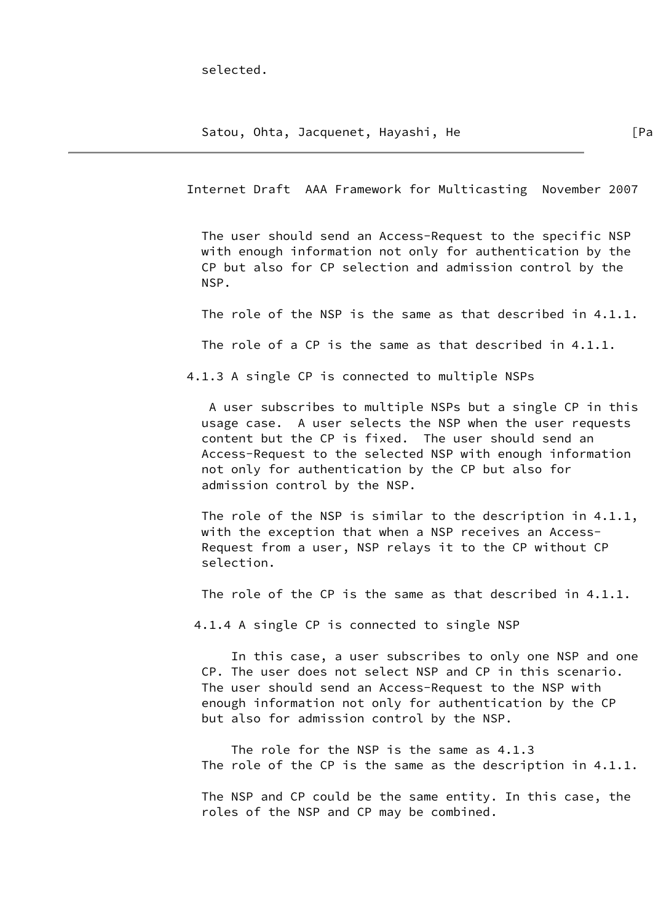selected.

Internet Draft AAA Framework for Multicasting November 2007

 The user should send an Access-Request to the specific NSP with enough information not only for authentication by the CP but also for CP selection and admission control by the NSP.

The role of the NSP is the same as that described in 4.1.1.

The role of a CP is the same as that described in 4.1.1.

4.1.3 A single CP is connected to multiple NSPs

 A user subscribes to multiple NSPs but a single CP in this usage case. A user selects the NSP when the user requests content but the CP is fixed. The user should send an Access-Request to the selected NSP with enough information not only for authentication by the CP but also for admission control by the NSP.

 The role of the NSP is similar to the description in 4.1.1, with the exception that when a NSP receives an Access- Request from a user, NSP relays it to the CP without CP selection.

The role of the CP is the same as that described in 4.1.1.

4.1.4 A single CP is connected to single NSP

 In this case, a user subscribes to only one NSP and one CP. The user does not select NSP and CP in this scenario. The user should send an Access-Request to the NSP with enough information not only for authentication by the CP but also for admission control by the NSP.

 The role for the NSP is the same as 4.1.3 The role of the CP is the same as the description in 4.1.1.

 The NSP and CP could be the same entity. In this case, the roles of the NSP and CP may be combined.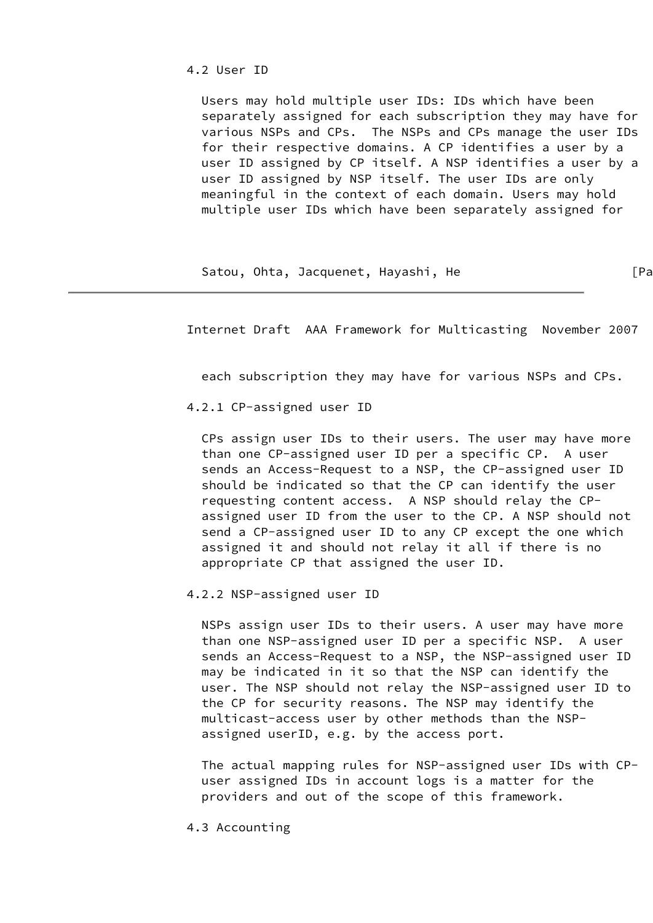4.2 User ID

 Users may hold multiple user IDs: IDs which have been separately assigned for each subscription they may have for various NSPs and CPs. The NSPs and CPs manage the user IDs for their respective domains. A CP identifies a user by a user ID assigned by CP itself. A NSP identifies a user by a user ID assigned by NSP itself. The user IDs are only meaningful in the context of each domain. Users may hold multiple user IDs which have been separately assigned for

Satou, Ohta, Jacquenet, Hayashi, He **120 Company 11** [Page 11]

Internet Draft AAA Framework for Multicasting November 2007

each subscription they may have for various NSPs and CPs.

4.2.1 CP-assigned user ID

 CPs assign user IDs to their users. The user may have more than one CP-assigned user ID per a specific CP. A user sends an Access-Request to a NSP, the CP-assigned user ID should be indicated so that the CP can identify the user requesting content access. A NSP should relay the CP assigned user ID from the user to the CP. A NSP should not send a CP-assigned user ID to any CP except the one which assigned it and should not relay it all if there is no appropriate CP that assigned the user ID.

4.2.2 NSP-assigned user ID

 NSPs assign user IDs to their users. A user may have more than one NSP-assigned user ID per a specific NSP. A user sends an Access-Request to a NSP, the NSP-assigned user ID may be indicated in it so that the NSP can identify the user. The NSP should not relay the NSP-assigned user ID to the CP for security reasons. The NSP may identify the multicast-access user by other methods than the NSP assigned userID, e.g. by the access port.

 The actual mapping rules for NSP-assigned user IDs with CP user assigned IDs in account logs is a matter for the providers and out of the scope of this framework.

4.3 Accounting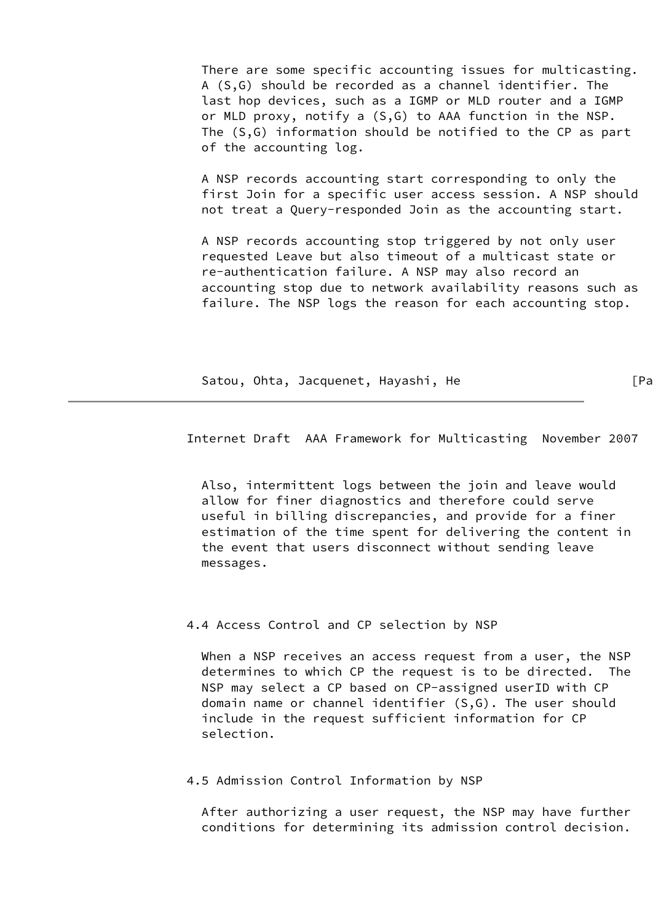There are some specific accounting issues for multicasting. A (S,G) should be recorded as a channel identifier. The last hop devices, such as a IGMP or MLD router and a IGMP or MLD proxy, notify a (S,G) to AAA function in the NSP. The (S,G) information should be notified to the CP as part of the accounting log.

 A NSP records accounting start corresponding to only the first Join for a specific user access session. A NSP should not treat a Query-responded Join as the accounting start.

 A NSP records accounting stop triggered by not only user requested Leave but also timeout of a multicast state or re-authentication failure. A NSP may also record an accounting stop due to network availability reasons such as failure. The NSP logs the reason for each accounting stop.

Satou, Ohta, Jacquenet, Hayashi, He **120 Company 12** [Page 12]

Internet Draft AAA Framework for Multicasting November 2007

 Also, intermittent logs between the join and leave would allow for finer diagnostics and therefore could serve useful in billing discrepancies, and provide for a finer estimation of the time spent for delivering the content in the event that users disconnect without sending leave messages.

4.4 Access Control and CP selection by NSP

When a NSP receives an access request from a user, the NSP determines to which CP the request is to be directed. The NSP may select a CP based on CP-assigned userID with CP domain name or channel identifier (S,G). The user should include in the request sufficient information for CP selection.

4.5 Admission Control Information by NSP

 After authorizing a user request, the NSP may have further conditions for determining its admission control decision.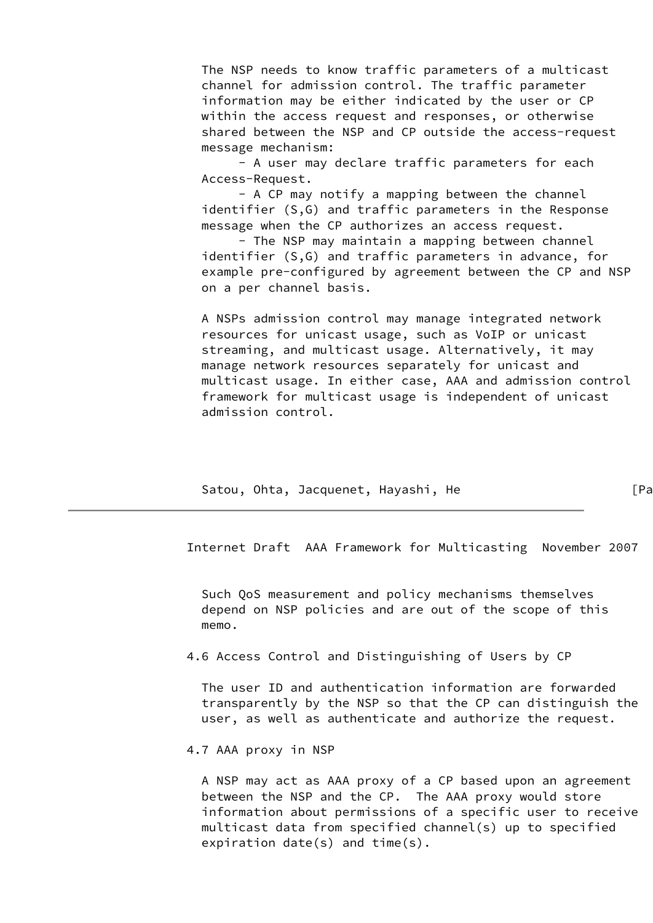The NSP needs to know traffic parameters of a multicast channel for admission control. The traffic parameter information may be either indicated by the user or CP within the access request and responses, or otherwise shared between the NSP and CP outside the access-request message mechanism:

 - A user may declare traffic parameters for each Access-Request.

 - A CP may notify a mapping between the channel identifier (S,G) and traffic parameters in the Response message when the CP authorizes an access request.

 - The NSP may maintain a mapping between channel identifier (S,G) and traffic parameters in advance, for example pre-configured by agreement between the CP and NSP on a per channel basis.

 A NSPs admission control may manage integrated network resources for unicast usage, such as VoIP or unicast streaming, and multicast usage. Alternatively, it may manage network resources separately for unicast and multicast usage. In either case, AAA and admission control framework for multicast usage is independent of unicast admission control.

Satou, Ohta, Jacquenet, Hayashi, He **1388 and 13** [Page 13]

Internet Draft AAA Framework for Multicasting November 2007

 Such QoS measurement and policy mechanisms themselves depend on NSP policies and are out of the scope of this memo.

4.6 Access Control and Distinguishing of Users by CP

 The user ID and authentication information are forwarded transparently by the NSP so that the CP can distinguish the user, as well as authenticate and authorize the request.

4.7 AAA proxy in NSP

 A NSP may act as AAA proxy of a CP based upon an agreement between the NSP and the CP. The AAA proxy would store information about permissions of a specific user to receive multicast data from specified channel(s) up to specified expiration date(s) and time(s).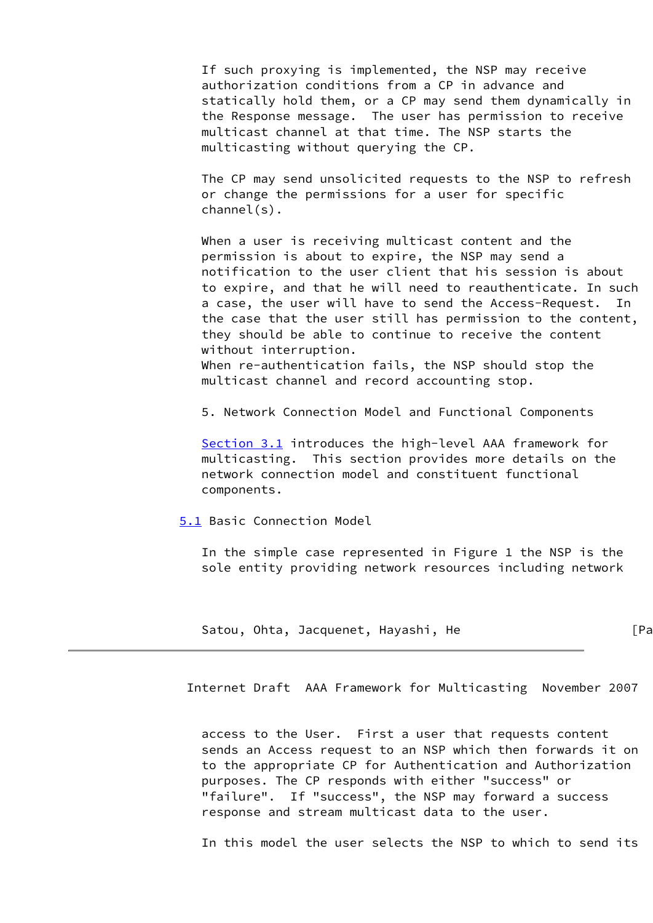If such proxying is implemented, the NSP may receive authorization conditions from a CP in advance and statically hold them, or a CP may send them dynamically in the Response message. The user has permission to receive multicast channel at that time. The NSP starts the multicasting without querying the CP.

 The CP may send unsolicited requests to the NSP to refresh or change the permissions for a user for specific channel(s).

 When a user is receiving multicast content and the permission is about to expire, the NSP may send a notification to the user client that his session is about to expire, and that he will need to reauthenticate. In such a case, the user will have to send the Access-Request. In the case that the user still has permission to the content, they should be able to continue to receive the content without interruption.

 When re-authentication fails, the NSP should stop the multicast channel and record accounting stop.

5. Network Connection Model and Functional Components

Section 3.1 introduces the high-level AAA framework for multicasting. This section provides more details on the network connection model and constituent functional components.

[5.1](#page-2-20) Basic Connection Model

 In the simple case represented in Figure 1 the NSP is the sole entity providing network resources including network

Satou, Ohta, Jacquenet, Hayashi, He **1488** (Page 14)

Internet Draft AAA Framework for Multicasting November 2007

 access to the User. First a user that requests content sends an Access request to an NSP which then forwards it on to the appropriate CP for Authentication and Authorization purposes. The CP responds with either "success" or "failure". If "success", the NSP may forward a success response and stream multicast data to the user.

In this model the user selects the NSP to which to send its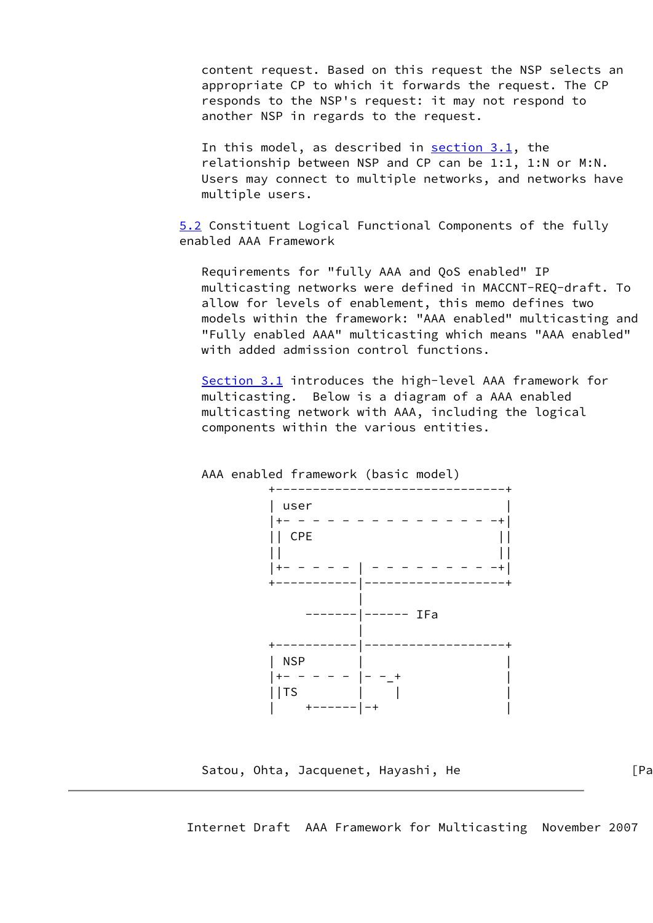content request. Based on this request the NSP selects an appropriate CP to which it forwards the request. The CP responds to the NSP's request: it may not respond to another NSP in regards to the request.

In this model, as described in section 3.1, the relationship between NSP and CP can be 1:1, 1:N or M:N. Users may connect to multiple networks, and networks have multiple users.

 [5.2](#page-2-21) Constituent Logical Functional Components of the fully enabled AAA Framework

 Requirements for "fully AAA and QoS enabled" IP multicasting networks were defined in MACCNT-REQ-draft. To allow for levels of enablement, this memo defines two models within the framework: "AAA enabled" multicasting and "Fully enabled AAA" multicasting which means "AAA enabled" with added admission control functions.

Section 3.1 introduces the high-level AAA framework for multicasting. Below is a diagram of a AAA enabled multicasting network with AAA, including the logical components within the various entities.



AAA enabled framework (basic model)

Satou, Ohta, Jacquenet, Hayashi, He **1588** [Page 15]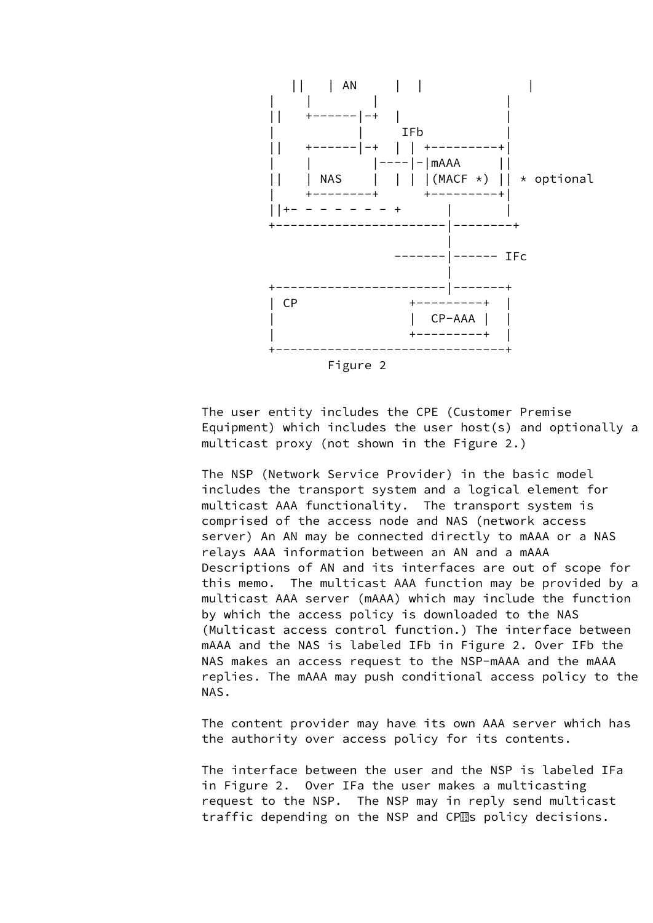

 The user entity includes the CPE (Customer Premise Equipment) which includes the user host(s) and optionally a multicast proxy (not shown in the Figure 2.)

 The NSP (Network Service Provider) in the basic model includes the transport system and a logical element for multicast AAA functionality. The transport system is comprised of the access node and NAS (network access server) An AN may be connected directly to mAAA or a NAS relays AAA information between an AN and a mAAA Descriptions of AN and its interfaces are out of scope for this memo. The multicast AAA function may be provided by a multicast AAA server (mAAA) which may include the function by which the access policy is downloaded to the NAS (Multicast access control function.) The interface between mAAA and the NAS is labeled IFb in Figure 2. Over IFb the NAS makes an access request to the NSP-mAAA and the mAAA replies. The mAAA may push conditional access policy to the NAS.

 The content provider may have its own AAA server which has the authority over access policy for its contents.

 The interface between the user and the NSP is labeled IFa in Figure 2. Over IFa the user makes a multicasting request to the NSP. The NSP may in reply send multicast traffic depending on the NSP and CP88s policy decisions.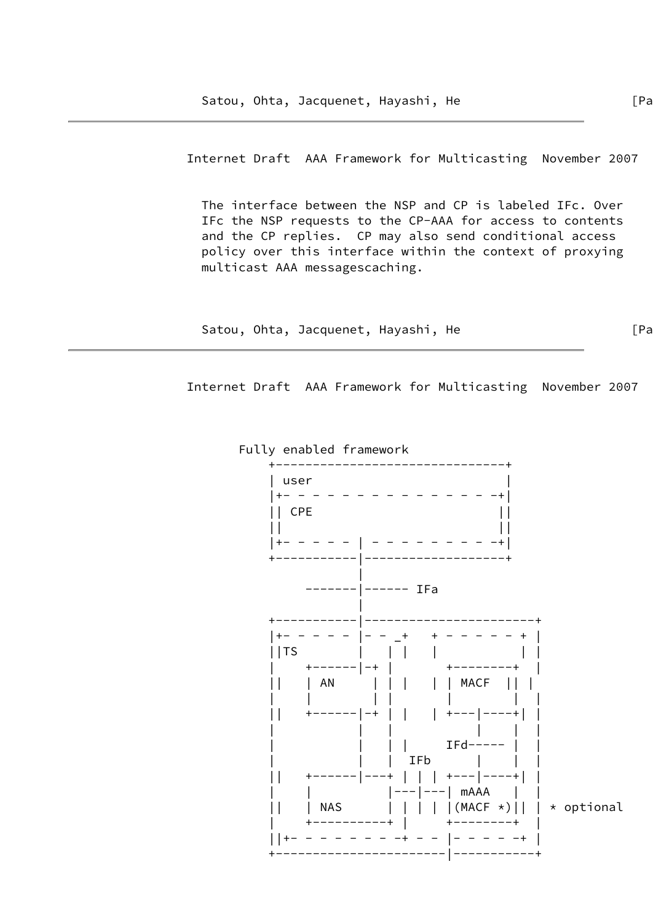The interface between the NSP and CP is labeled IFc. Over IFc the NSP requests to the CP-AAA for access to contents and the CP replies. CP may also send conditional access policy over this interface within the context of proxying multicast AAA messagescaching.

Satou, Ohta, Jacquenet, Hayashi, He **1798** [Page 17]

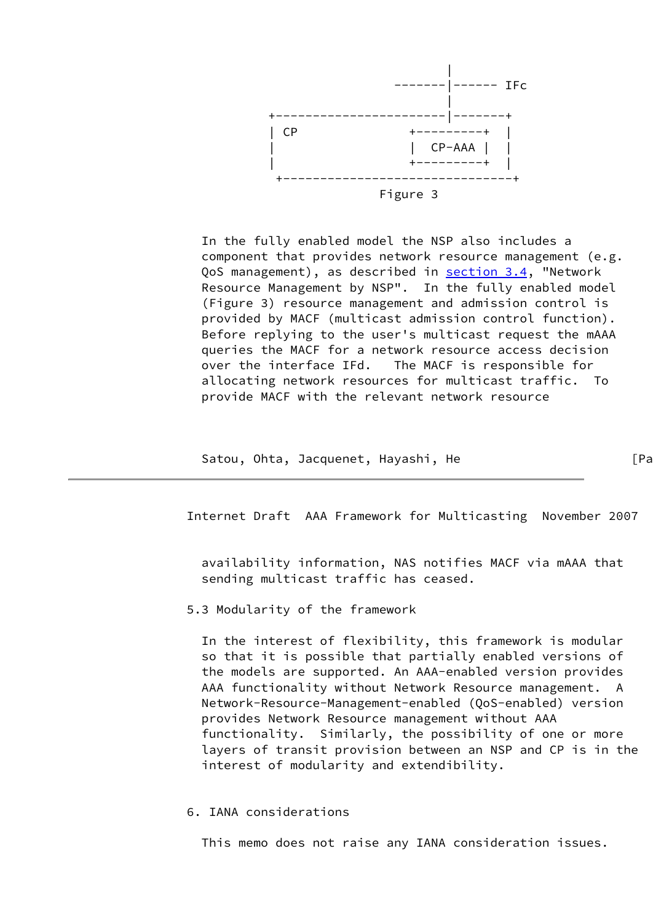

 In the fully enabled model the NSP also includes a component that provides network resource management (e.g. QoS management), as described in section 3.4, "Network Resource Management by NSP". In the fully enabled model (Figure 3) resource management and admission control is provided by MACF (multicast admission control function). Before replying to the user's multicast request the mAAA queries the MACF for a network resource access decision over the interface IFd. The MACF is responsible for allocating network resources for multicast traffic. To provide MACF with the relevant network resource

Satou, Ohta, Jacquenet, Hayashi, He **1898 1898 1899 1899** [Page 18]

Internet Draft AAA Framework for Multicasting November 2007

 availability information, NAS notifies MACF via mAAA that sending multicast traffic has ceased.

5.3 Modularity of the framework

 In the interest of flexibility, this framework is modular so that it is possible that partially enabled versions of the models are supported. An AAA-enabled version provides AAA functionality without Network Resource management. A Network-Resource-Management-enabled (QoS-enabled) version provides Network Resource management without AAA functionality. Similarly, the possibility of one or more layers of transit provision between an NSP and CP is in the interest of modularity and extendibility.

6. IANA considerations

This memo does not raise any IANA consideration issues.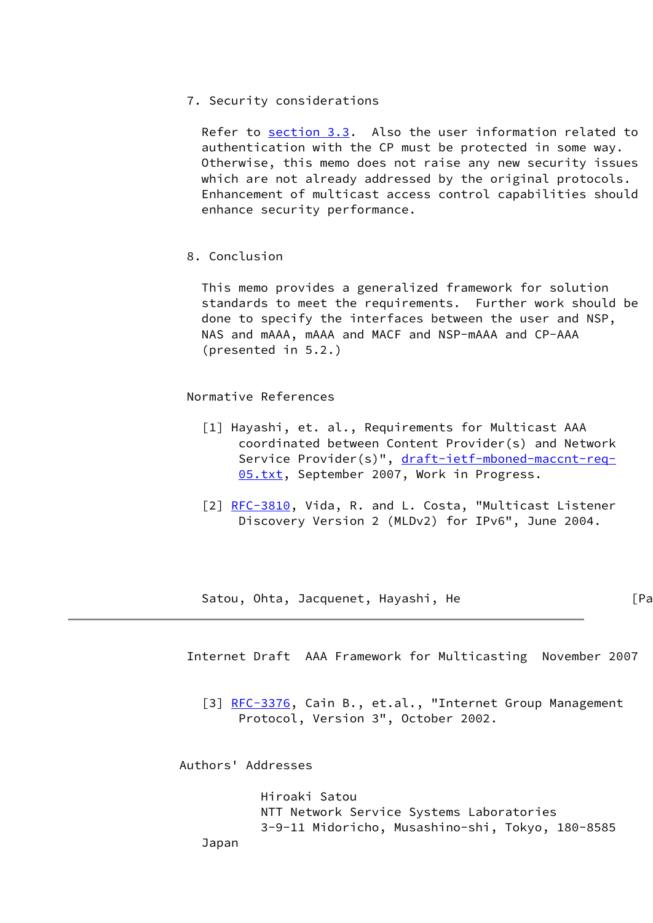7. Security considerations

 Refer to section 3.3. Also the user information related to authentication with the CP must be protected in some way. Otherwise, this memo does not raise any new security issues which are not already addressed by the original protocols. Enhancement of multicast access control capabilities should enhance security performance.

8. Conclusion

 This memo provides a generalized framework for solution standards to meet the requirements. Further work should be done to specify the interfaces between the user and NSP, NAS and mAAA, mAAA and MACF and NSP-mAAA and CP-AAA (presented in 5.2.)

Normative References

- [1] Hayashi, et. al., Requirements for Multicast AAA coordinated between Content Provider(s) and Network Service Provider(s)", [draft-ietf-mboned-maccnt-req-](https://datatracker.ietf.org/doc/pdf/draft-ietf-mboned-maccnt-req-05.txt) [05.txt](https://datatracker.ietf.org/doc/pdf/draft-ietf-mboned-maccnt-req-05.txt), September 2007, Work in Progress.
- [2] [RFC-3810,](https://datatracker.ietf.org/doc/pdf/rfc3810) Vida, R. and L. Costa, "Multicast Listener Discovery Version 2 (MLDv2) for IPv6", June 2004.

Satou, Ohta, Jacquenet, Hayashi, He **1996 1996** [Page 19]

Internet Draft AAA Framework for Multicasting November 2007

[3] [RFC-3376,](https://datatracker.ietf.org/doc/pdf/rfc3376) Cain B., et.al., "Internet Group Management Protocol, Version 3", October 2002.

Authors' Addresses

 Hiroaki Satou NTT Network Service Systems Laboratories 3-9-11 Midoricho, Musashino-shi, Tokyo, 180-8585 Japan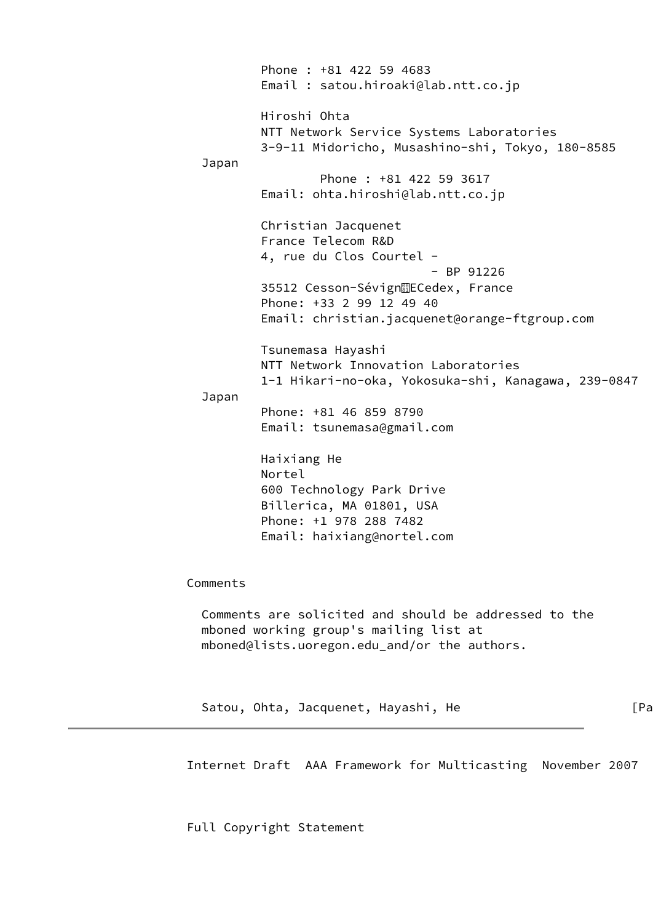Phone : +81 422 59 4683 Email : satou.hiroaki@lab.ntt.co.jp Hiroshi Ohta NTT Network Service Systems Laboratories 3-9-11 Midoricho, Musashino-shi, Tokyo, 180-8585 Japan Phone : +81 422 59 3617 Email: ohta.hiroshi@lab.ntt.co.jp Christian Jacquenet France Telecom R&D 4, rue du Clos Courtel - - BP 91226 35512 Cesson-Sévign BECedex, France Phone: +33 2 99 12 49 40 Email: christian.jacquenet@orange-ftgroup.com Tsunemasa Hayashi NTT Network Innovation Laboratories 1-1 Hikari-no-oka, Yokosuka-shi, Kanagawa, 239-0847 Japan Phone: +81 46 859 8790 Email: tsunemasa@gmail.com Haixiang He Nortel 600 Technology Park Drive Billerica, MA 01801, USA Phone: +1 978 288 7482 Email: haixiang@nortel.com Comments

 Comments are solicited and should be addressed to the mboned working group's mailing list at mboned@lists.uoregon.edu\_and/or the authors.

Satou, Ohta, Jacquenet, Hayashi, He **2008** [Page 20]

Internet Draft AAA Framework for Multicasting November 2007

Full Copyright Statement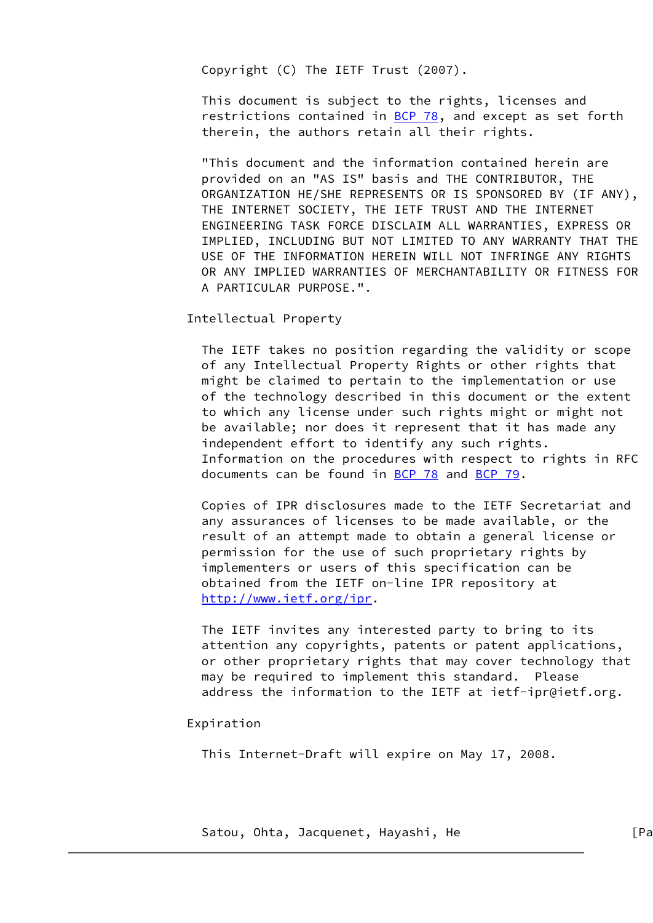Copyright (C) The IETF Trust (2007).

 This document is subject to the rights, licenses and restrictions contained in  $BCP$  78, and except as set forth therein, the authors retain all their rights.

 "This document and the information contained herein are provided on an "AS IS" basis and THE CONTRIBUTOR, THE ORGANIZATION HE/SHE REPRESENTS OR IS SPONSORED BY (IF ANY), THE INTERNET SOCIETY, THE IETF TRUST AND THE INTERNET ENGINEERING TASK FORCE DISCLAIM ALL WARRANTIES, EXPRESS OR IMPLIED, INCLUDING BUT NOT LIMITED TO ANY WARRANTY THAT THE USE OF THE INFORMATION HEREIN WILL NOT INFRINGE ANY RIGHTS OR ANY IMPLIED WARRANTIES OF MERCHANTABILITY OR FITNESS FOR A PARTICULAR PURPOSE.".

Intellectual Property

 The IETF takes no position regarding the validity or scope of any Intellectual Property Rights or other rights that might be claimed to pertain to the implementation or use of the technology described in this document or the extent to which any license under such rights might or might not be available; nor does it represent that it has made any independent effort to identify any such rights. Information on the procedures with respect to rights in RFC documents can be found in [BCP 78](https://datatracker.ietf.org/doc/pdf/bcp78) and [BCP 79](https://datatracker.ietf.org/doc/pdf/bcp79).

 Copies of IPR disclosures made to the IETF Secretariat and any assurances of licenses to be made available, or the result of an attempt made to obtain a general license or permission for the use of such proprietary rights by implementers or users of this specification can be obtained from the IETF on-line IPR repository at <http://www.ietf.org/ipr>.

 The IETF invites any interested party to bring to its attention any copyrights, patents or patent applications, or other proprietary rights that may cover technology that may be required to implement this standard. Please address the information to the IETF at ietf-ipr@ietf.org.

Expiration

This Internet-Draft will expire on May 17, 2008.

Satou, Ohta, Jacquenet, Hayashi, He **2021 Example 21** [Page 21]